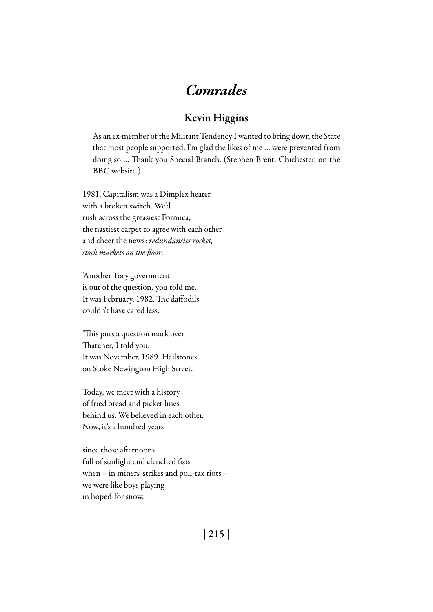## *Comrades*

## Kevin Higgins

As an ex-member of the Militant Tendency I wanted to bring down the State that most people supported. I'm glad the likes of me … were prevented from doing so … Thank you Special Branch. (Stephen Brent, Chichester, on the BBC website.)

1981. Capitalism was a Dimplex heater with a broken switch. We'd rush across the greasiest Formica, the nastiest carpet to agree with each other and cheer the news: *redundancies rocket, stock markets on the floor*.

'Another Tory government is out of the question,' you told me. It was February, 1982. The daffodils couldn't have cared less.

'This puts a question mark over Thatcher,' I told you. It was November, 1989. Hailstones on Stoke Newington High Street.

Today, we meet with a history of fried bread and picket lines behind us. We believed in each other. Now, it's a hundred years

since those afternoons full of sunlight and clenched fists when – in miners' strikes and poll-tax riots – we were like boys playing in hoped-for snow.